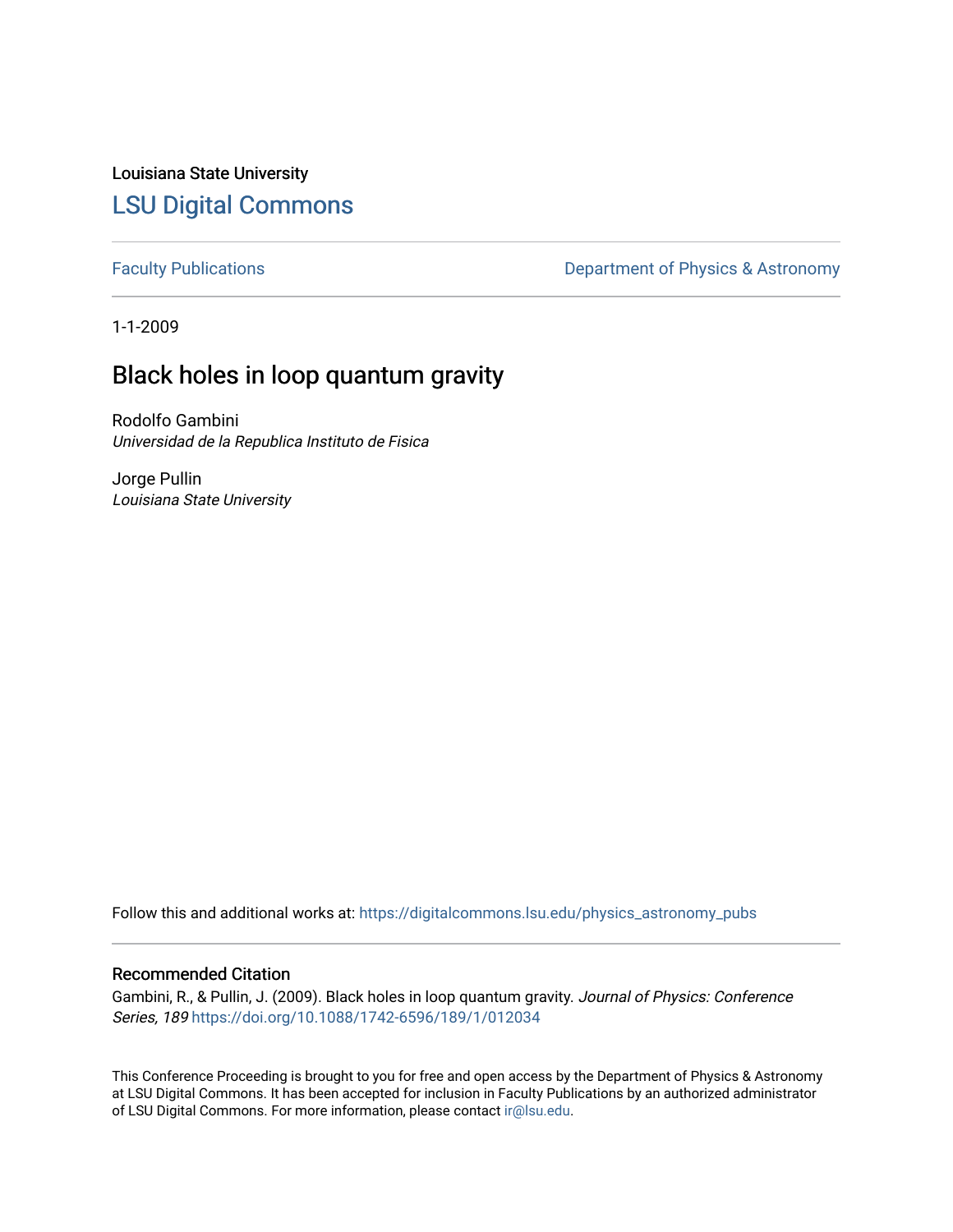Louisiana State University [LSU Digital Commons](https://digitalcommons.lsu.edu/)

[Faculty Publications](https://digitalcommons.lsu.edu/physics_astronomy_pubs) **Exercise 2** Constant Department of Physics & Astronomy

1-1-2009

# Black holes in loop quantum gravity

Rodolfo Gambini Universidad de la Republica Instituto de Fisica

Jorge Pullin Louisiana State University

Follow this and additional works at: [https://digitalcommons.lsu.edu/physics\\_astronomy\\_pubs](https://digitalcommons.lsu.edu/physics_astronomy_pubs?utm_source=digitalcommons.lsu.edu%2Fphysics_astronomy_pubs%2F4358&utm_medium=PDF&utm_campaign=PDFCoverPages) 

## Recommended Citation

Gambini, R., & Pullin, J. (2009). Black holes in loop quantum gravity. Journal of Physics: Conference Series, 189 <https://doi.org/10.1088/1742-6596/189/1/012034>

This Conference Proceeding is brought to you for free and open access by the Department of Physics & Astronomy at LSU Digital Commons. It has been accepted for inclusion in Faculty Publications by an authorized administrator of LSU Digital Commons. For more information, please contact [ir@lsu.edu](mailto:ir@lsu.edu).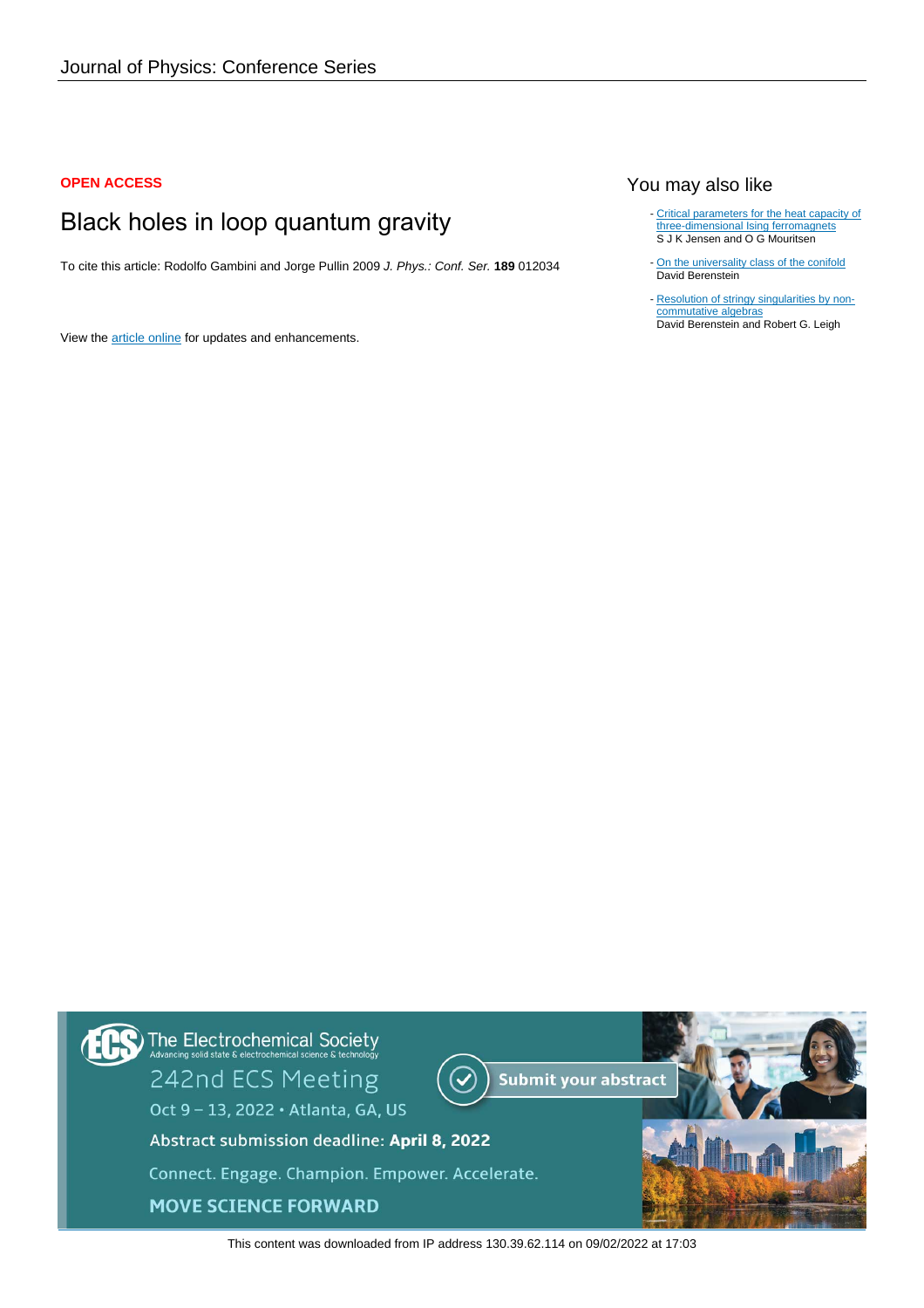#### **OPEN ACCESS**

# Black holes in loop quantum gravity

To cite this article: Rodolfo Gambini and Jorge Pullin 2009 J. Phys.: Conf. Ser. **189** 012034

View the [article online](https://doi.org/10.1088/1742-6596/189/1/012034) for updates and enhancements.

## You may also like

- [Critical parameters for the heat capacity of](/article/10.1088/0305-4470/15/8/038) [three-dimensional Ising ferromagnets](/article/10.1088/0305-4470/15/8/038) S J K Jensen and O G Mouritsen
- [On the universality class of the conifold](/article/10.1088/1126-6708/2001/11/060) David Berenstein
- [Resolution of stringy singularities by non](/article/10.1088/1126-6708/2001/06/030)[commutative algebras](/article/10.1088/1126-6708/2001/06/030) David Berenstein and Robert G. Leigh



This content was downloaded from IP address 130.39.62.114 on 09/02/2022 at 17:03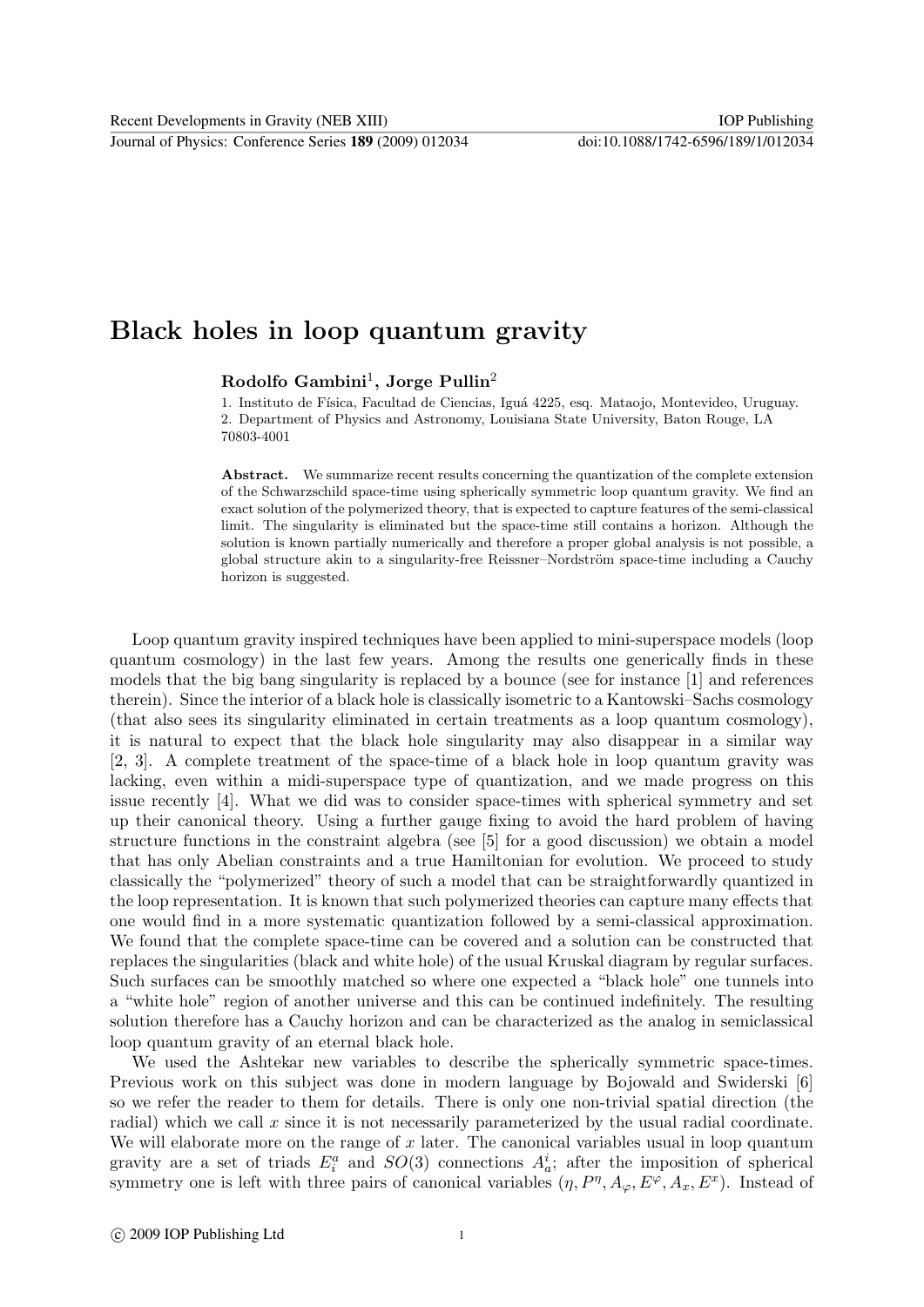Journal of Physics: Conference Series **189** (2009) 012034 doi:10.1088/1742-6596/189/1/012034

# Black holes in loop quantum gravity

## Rodolfo Gambini<sup>1</sup>, Jorge Pullin<sup>2</sup>

1. Instituto de Física, Facultad de Ciencias, Iguá 4225, esq. Mataojo, Montevideo, Uruguay. 2. Department of Physics and Astronomy, Louisiana State University, Baton Rouge, LA 70803-4001

Abstract. We summarize recent results concerning the quantization of the complete extension of the Schwarzschild space-time using spherically symmetric loop quantum gravity. We find an exact solution of the polymerized theory, that is expected to capture features of the semi-classical limit. The singularity is eliminated but the space-time still contains a horizon. Although the solution is known partially numerically and therefore a proper global analysis is not possible, a global structure akin to a singularity-free Reissner–Nordström space-time including a Cauchy horizon is suggested.

Loop quantum gravity inspired techniques have been applied to mini-superspace models (loop quantum cosmology) in the last few years. Among the results one generically finds in these models that the big bang singularity is replaced by a bounce (see for instance [1] and references therein). Since the interior of a black hole is classically isometric to a Kantowski–Sachs cosmology (that also sees its singularity eliminated in certain treatments as a loop quantum cosmology), it is natural to expect that the black hole singularity may also disappear in a similar way [2, 3]. A complete treatment of the space-time of a black hole in loop quantum gravity was lacking, even within a midi-superspace type of quantization, and we made progress on this issue recently [4]. What we did was to consider space-times with spherical symmetry and set up their canonical theory. Using a further gauge fixing to avoid the hard problem of having structure functions in the constraint algebra (see [5] for a good discussion) we obtain a model that has only Abelian constraints and a true Hamiltonian for evolution. We proceed to study classically the "polymerized" theory of such a model that can be straightforwardly quantized in the loop representation. It is known that such polymerized theories can capture many effects that one would find in a more systematic quantization followed by a semi-classical approximation. We found that the complete space-time can be covered and a solution can be constructed that replaces the singularities (black and white hole) of the usual Kruskal diagram by regular surfaces. Such surfaces can be smoothly matched so where one expected a "black hole" one tunnels into a "white hole" region of another universe and this can be continued indefinitely. The resulting solution therefore has a Cauchy horizon and can be characterized as the analog in semiclassical loop quantum gravity of an eternal black hole.

We used the Ashtekar new variables to describe the spherically symmetric space-times. Previous work on this subject was done in modern language by Bojowald and Swiderski [6] so we refer the reader to them for details. There is only one non-trivial spatial direction (the radial) which we call  $x$  since it is not necessarily parameterized by the usual radial coordinate. We will elaborate more on the range of  $x$  later. The canonical variables usual in loop quantum gravity are a set of triads  $E_i^a$  and  $SO(3)$  connections  $A_a^i$ ; after the imposition of spherical symmetry one is left with three pairs of canonical variables  $(\eta, P^{\eta}, A_{\varphi}, E^{\varphi}, A_x, E^x)$ . Instead of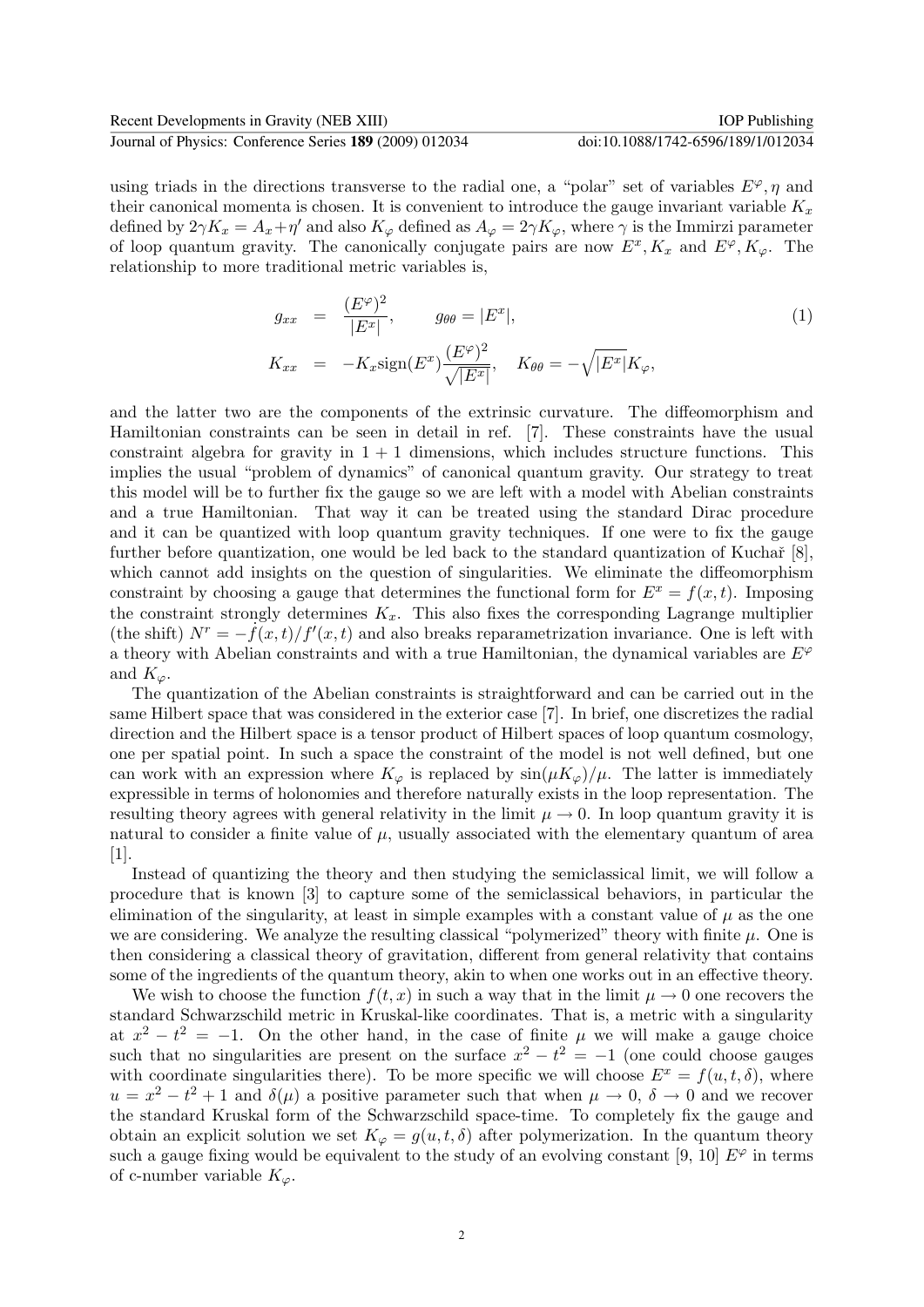#### Journal of Physics: Conference Series **189** (2009) 012034 doi:10.1088/1742-6596/189/1/012034

using triads in the directions transverse to the radial one, a "polar" set of variables  $E^{\varphi}$ ,  $\eta$  and their canonical momenta is chosen. It is convenient to introduce the gauge invariant variable  $K_x$ defined by  $2\gamma K_x = A_x + \eta'$  and also  $K_\varphi$  defined as  $A_\varphi = 2\gamma K_\varphi$ , where  $\gamma$  is the Immirzi parameter of loop quantum gravity. The canonically conjugate pairs are now  $E^x$ ,  $K_x$  and  $E^{\varphi}$ ,  $K_{\varphi}$ . The relationship to more traditional metric variables is,

$$
g_{xx} = \frac{(E^{\varphi})^2}{|E^x|}, \qquad g_{\theta\theta} = |E^x|,
$$
  
\n
$$
K_{xx} = -K_{x}\text{sign}(E^x)\frac{(E^{\varphi})^2}{\sqrt{|E^x|}}, \quad K_{\theta\theta} = -\sqrt{|E^x|}K_{\varphi},
$$
\n(1)

and the latter two are the components of the extrinsic curvature. The diffeomorphism and Hamiltonian constraints can be seen in detail in ref. [7]. These constraints have the usual constraint algebra for gravity in  $1 + 1$  dimensions, which includes structure functions. This implies the usual "problem of dynamics" of canonical quantum gravity. Our strategy to treat this model will be to further fix the gauge so we are left with a model with Abelian constraints and a true Hamiltonian. That way it can be treated using the standard Dirac procedure and it can be quantized with loop quantum gravity techniques. If one were to fix the gauge further before quantization, one would be led back to the standard quantization of Kuchař  $[8]$ , which cannot add insights on the question of singularities. We eliminate the diffeomorphism constraint by choosing a gauge that determines the functional form for  $E^x = f(x, t)$ . Imposing the constraint strongly determines  $K_x$ . This also fixes the corresponding Lagrange multiplier (the shift)  $N^r = -f(x, t)/f'(x, t)$  and also breaks reparametrization invariance. One is left with a theory with Abelian constraints and with a true Hamiltonian, the dynamical variables are  $E^{\varphi}$ and  $K_{\varphi}$ .

The quantization of the Abelian constraints is straightforward and can be carried out in the same Hilbert space that was considered in the exterior case [7]. In brief, one discretizes the radial direction and the Hilbert space is a tensor product of Hilbert spaces of loop quantum cosmology, one per spatial point. In such a space the constraint of the model is not well defined, but one can work with an expression where  $K_{\varphi}$  is replaced by  $\sin(\mu K_{\varphi})/\mu$ . The latter is immediately expressible in terms of holonomies and therefore naturally exists in the loop representation. The resulting theory agrees with general relativity in the limit  $\mu \to 0$ . In loop quantum gravity it is natural to consider a finite value of  $\mu$ , usually associated with the elementary quantum of area [1].

Instead of quantizing the theory and then studying the semiclassical limit, we will follow a procedure that is known [3] to capture some of the semiclassical behaviors, in particular the elimination of the singularity, at least in simple examples with a constant value of  $\mu$  as the one we are considering. We analyze the resulting classical "polymerized" theory with finite  $\mu$ . One is then considering a classical theory of gravitation, different from general relativity that contains some of the ingredients of the quantum theory, akin to when one works out in an effective theory.

We wish to choose the function  $f(t, x)$  in such a way that in the limit  $\mu \to 0$  one recovers the standard Schwarzschild metric in Kruskal-like coordinates. That is, a metric with a singularity at  $x^2 - t^2 = -1$ . On the other hand, in the case of finite  $\mu$  we will make a gauge choice such that no singularities are present on the surface  $x^2 - t^2 = -1$  (one could choose gauges with coordinate singularities there). To be more specific we will choose  $E^x = f(u, t, \delta)$ , where  $u = x^2 - t^2 + 1$  and  $\delta(\mu)$  a positive parameter such that when  $\mu \to 0$ ,  $\delta \to 0$  and we recover the standard Kruskal form of the Schwarzschild space-time. To completely fix the gauge and obtain an explicit solution we set  $K_{\varphi} = g(u, t, \delta)$  after polymerization. In the quantum theory such a gauge fixing would be equivalent to the study of an evolving constant [9, 10]  $E^{\varphi}$  in terms of c-number variable  $K_{\varphi}$ .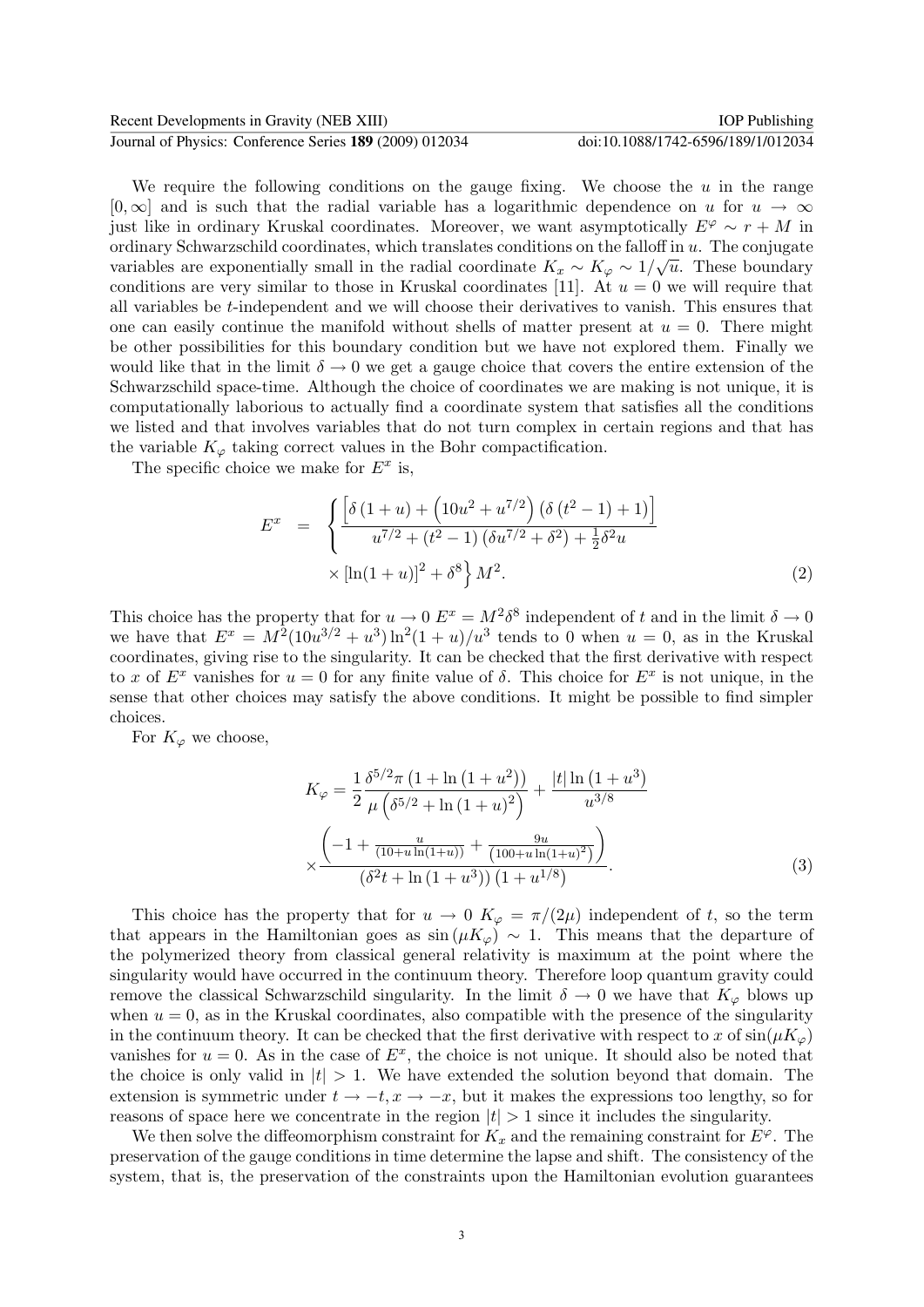| Recent Developments in Gravity (NEB XIII)               | <b>IOP</b> Publishing              |
|---------------------------------------------------------|------------------------------------|
| Journal of Physics: Conference Series 189 (2009) 012034 | doi:10.1088/1742-6596/189/1/012034 |

We require the following conditions on the gauge fixing. We choose the  $u$  in the range  $[0,\infty]$  and is such that the radial variable has a logarithmic dependence on u for  $u \to \infty$ just like in ordinary Kruskal coordinates. Moreover, we want asymptotically  $E^{\varphi} \sim r + M$  in ordinary Schwarzschild coordinates, which translates conditions on the falloff in  $u$ . The conjugate variables are exponentially small in the radial coordinate  $K_x \sim K_\varphi \sim 1/\sqrt{u}$ . These boundary conditions are very similar to those in Kruskal coordinates [11]. At  $u = 0$  we will require that all variables be t-independent and we will choose their derivatives to vanish. This ensures that one can easily continue the manifold without shells of matter present at  $u = 0$ . There might be other possibilities for this boundary condition but we have not explored them. Finally we would like that in the limit  $\delta \to 0$  we get a gauge choice that covers the entire extension of the Schwarzschild space-time. Although the choice of coordinates we are making is not unique, it is computationally laborious to actually find a coordinate system that satisfies all the conditions we listed and that involves variables that do not turn complex in certain regions and that has the variable  $K_{\varphi}$  taking correct values in the Bohr compactification.

The specific choice we make for  $E^x$  is,

$$
E^{x} = \begin{cases} \left[ \delta \left( 1 + u \right) + \left( 10u^{2} + u^{7/2} \right) \left( \delta \left( t^{2} - 1 \right) + 1 \right) \right] \\ u^{7/2} + \left( t^{2} - 1 \right) \left( \delta u^{7/2} + \delta^{2} \right) + \frac{1}{2} \delta^{2} u \end{cases}
$$
  
 
$$
\times \left[ \ln(1 + u) \right]^{2} + \delta^{8} \right\} M^{2}.
$$
 (2)

This choice has the property that for  $u \to 0$   $E^x = M^2 \delta^8$  independent of t and in the limit  $\delta \to 0$ we have that  $E^x = M^2(10u^{3/2} + u^3)\ln^2(1+u)/u^3$  tends to 0 when  $u = 0$ , as in the Kruskal coordinates, giving rise to the singularity. It can be checked that the first derivative with respect to x of  $E^x$  vanishes for  $u = 0$  for any finite value of  $\delta$ . This choice for  $E^x$  is not unique, in the sense that other choices may satisfy the above conditions. It might be possible to find simpler choices.

For  $K_{\varphi}$  we choose,

$$
K_{\varphi} = \frac{1}{2} \frac{\delta^{5/2} \pi \left( 1 + \ln \left( 1 + u^2 \right) \right)}{\mu \left( \delta^{5/2} + \ln \left( 1 + u \right)^2 \right)} + \frac{|t| \ln \left( 1 + u^3 \right)}{u^{3/8}}
$$

$$
\times \frac{\left( -1 + \frac{u}{(10 + u \ln(1 + u))} + \frac{9u}{(100 + u \ln(1 + u)^2)} \right)}{\left( \delta^2 t + \ln \left( 1 + u^3 \right) \right) \left( 1 + u^{1/8} \right)}.
$$
(3)

This choice has the property that for  $u \to 0$   $K_{\varphi} = \pi/(2\mu)$  independent of t, so the term that appears in the Hamiltonian goes as  $\sin(\mu K_{\varphi}) \sim 1$ . This means that the departure of the polymerized theory from classical general relativity is maximum at the point where the singularity would have occurred in the continuum theory. Therefore loop quantum gravity could remove the classical Schwarzschild singularity. In the limit  $\delta \to 0$  we have that  $K_{\varphi}$  blows up when  $u = 0$ , as in the Kruskal coordinates, also compatible with the presence of the singularity in the continuum theory. It can be checked that the first derivative with respect to x of  $\sin(\mu K_{\varphi})$ vanishes for  $u = 0$ . As in the case of  $E^x$ , the choice is not unique. It should also be noted that the choice is only valid in  $|t| > 1$ . We have extended the solution beyond that domain. The extension is symmetric under  $t \to -t, x \to -x$ , but it makes the expressions too lengthy, so for reasons of space here we concentrate in the region  $|t| > 1$  since it includes the singularity.

We then solve the diffeomorphism constraint for  $K_x$  and the remaining constraint for  $E^{\varphi}$ . The preservation of the gauge conditions in time determine the lapse and shift. The consistency of the system, that is, the preservation of the constraints upon the Hamiltonian evolution guarantees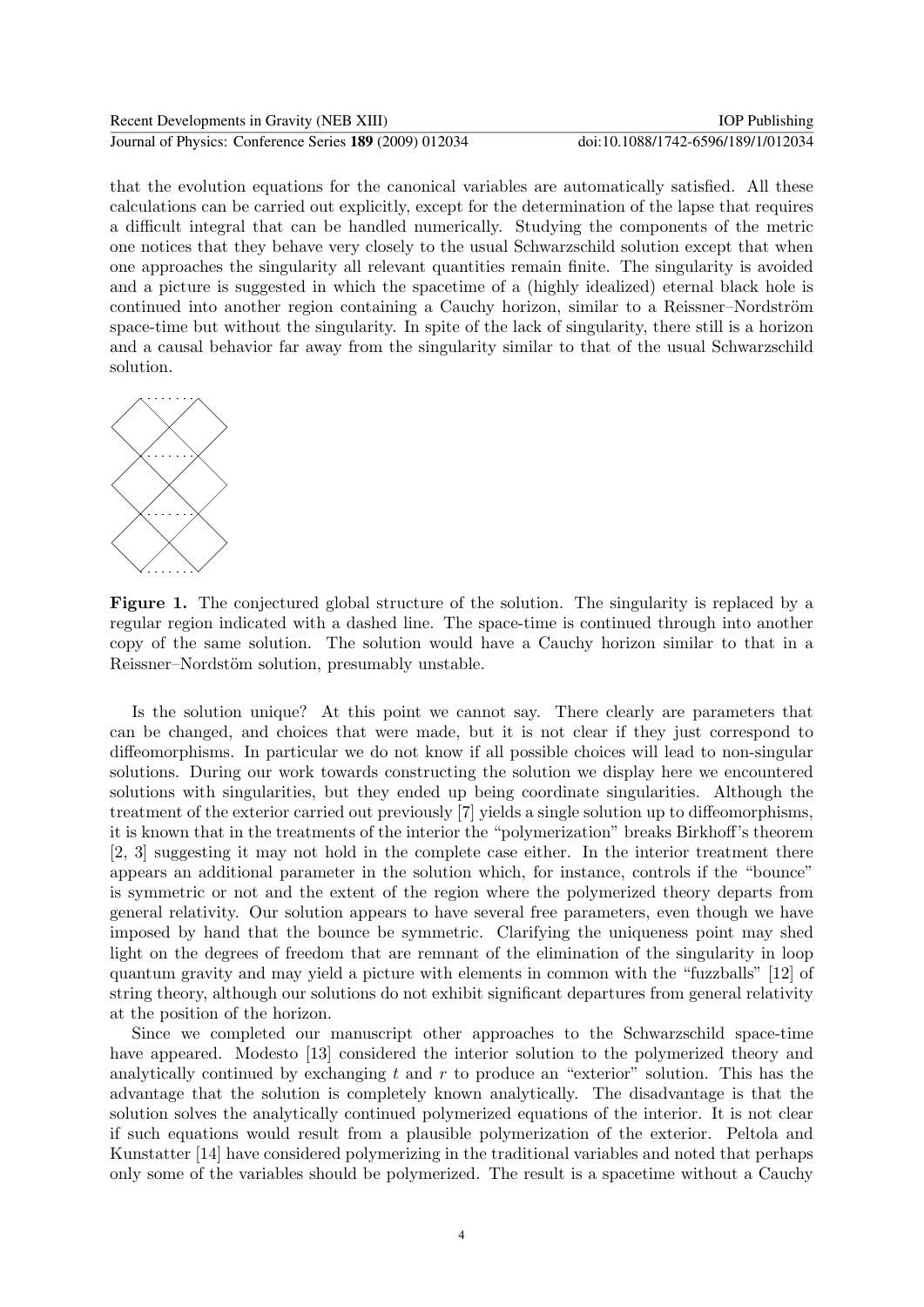| Recent Developments in Gravity (NEB XIII)               | IOP Publishing                     |
|---------------------------------------------------------|------------------------------------|
| Journal of Physics: Conference Series 189 (2009) 012034 | doi:10.1088/1742-6596/189/1/012034 |

that the evolution equations for the canonical variables are automatically satisfied. All these calculations can be carried out explicitly, except for the determination of the lapse that requires a difficult integral that can be handled numerically. Studying the components of the metric one notices that they behave very closely to the usual Schwarzschild solution except that when one approaches the singularity all relevant quantities remain finite. The singularity is avoided and a picture is suggested in which the spacetime of a (highly idealized) eternal black hole is continued into another region containing a Cauchy horizon, similar to a Reissner–Nordström space-time but without the singularity. In spite of the lack of singularity, there still is a horizon and a causal behavior far away from the singularity similar to that of the usual Schwarzschild solution.



Figure 1. The conjectured global structure of the solution. The singularity is replaced by a regular region indicated with a dashed line. The space-time is continued through into another copy of the same solution. The solution would have a Cauchy horizon similar to that in a Reissner–Nordstöm solution, presumably unstable.

Is the solution unique? At this point we cannot say. There clearly are parameters that can be changed, and choices that were made, but it is not clear if they just correspond to diffeomorphisms. In particular we do not know if all possible choices will lead to non-singular solutions. During our work towards constructing the solution we display here we encountered solutions with singularities, but they ended up being coordinate singularities. Although the treatment of the exterior carried out previously [7] yields a single solution up to diffeomorphisms, it is known that in the treatments of the interior the "polymerization" breaks Birkhoff's theorem [2, 3] suggesting it may not hold in the complete case either. In the interior treatment there appears an additional parameter in the solution which, for instance, controls if the "bounce" is symmetric or not and the extent of the region where the polymerized theory departs from general relativity. Our solution appears to have several free parameters, even though we have imposed by hand that the bounce be symmetric. Clarifying the uniqueness point may shed light on the degrees of freedom that are remnant of the elimination of the singularity in loop quantum gravity and may yield a picture with elements in common with the "fuzzballs" [12] of string theory, although our solutions do not exhibit significant departures from general relativity at the position of the horizon.

Since we completed our manuscript other approaches to the Schwarzschild space-time have appeared. Modesto [13] considered the interior solution to the polymerized theory and analytically continued by exchanging t and r to produce an "exterior" solution. This has the advantage that the solution is completely known analytically. The disadvantage is that the solution solves the analytically continued polymerized equations of the interior. It is not clear if such equations would result from a plausible polymerization of the exterior. Peltola and Kunstatter [14] have considered polymerizing in the traditional variables and noted that perhaps only some of the variables should be polymerized. The result is a spacetime without a Cauchy